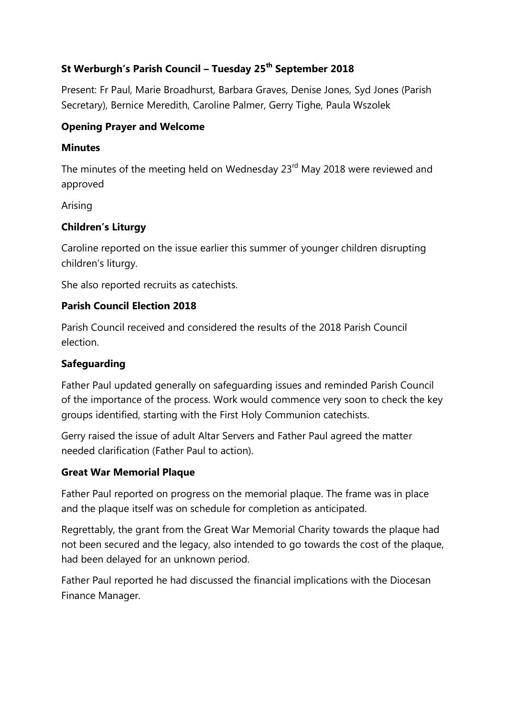# **St Werburgh's Parish Council – Tuesday 25th September 2018**

Present: Fr Paul, Marie Broadhurst, Barbara Graves, Denise Jones, Syd Jones (Parish Secretary), Bernice Meredith, Caroline Palmer, Gerry Tighe, Paula Wszolek

#### **Opening Prayer and Welcome**

#### **Minutes**

The minutes of the meeting held on Wednesday 23<sup>rd</sup> May 2018 were reviewed and approved

Arising

# **Children's Liturgy**

Caroline reported on the issue earlier this summer of younger children disrupting children's liturgy.

She also reported recruits as catechists.

#### **Parish Council Election 2018**

Parish Council received and considered the results of the 2018 Parish Council election.

# **Safeguarding**

Father Paul updated generally on safeguarding issues and reminded Parish Council of the importance of the process. Work would commence very soon to check the key groups identified, starting with the First Holy Communion catechists.

Gerry raised the issue of adult Altar Servers and Father Paul agreed the matter needed clarification (Father Paul to action).

# **Great War Memorial Plaque**

Father Paul reported on progress on the memorial plaque. The frame was in place and the plaque itself was on schedule for completion as anticipated.

Regrettably, the grant from the Great War Memorial Charity towards the plaque had not been secured and the legacy, also intended to go towards the cost of the plaque, had been delayed for an unknown period.

Father Paul reported he had discussed the financial implications with the Diocesan Finance Manager.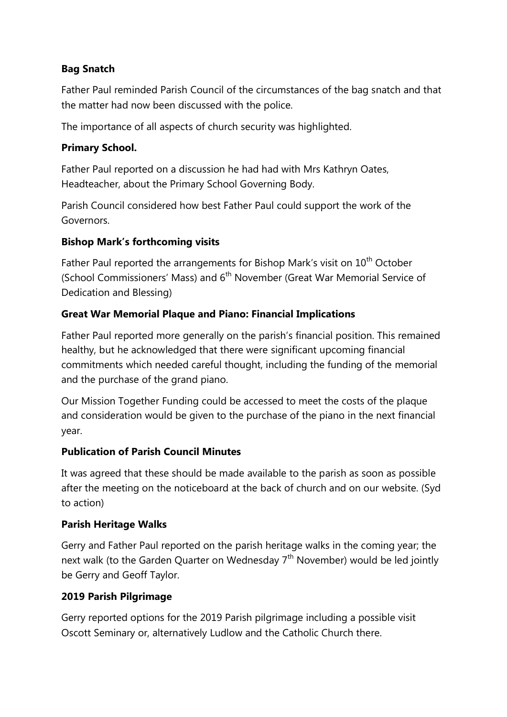# **Bag Snatch**

Father Paul reminded Parish Council of the circumstances of the bag snatch and that the matter had now been discussed with the police.

The importance of all aspects of church security was highlighted.

#### **Primary School.**

Father Paul reported on a discussion he had had with Mrs Kathryn Oates, Headteacher, about the Primary School Governing Body.

Parish Council considered how best Father Paul could support the work of the Governors.

# **Bishop Mark's forthcoming visits**

Father Paul reported the arrangements for Bishop Mark's visit on 10<sup>th</sup> October (School Commissioners' Mass) and 6<sup>th</sup> November (Great War Memorial Service of Dedication and Blessing)

# **Great War Memorial Plaque and Piano: Financial Implications**

Father Paul reported more generally on the parish's financial position. This remained healthy, but he acknowledged that there were significant upcoming financial commitments which needed careful thought, including the funding of the memorial and the purchase of the grand piano.

Our Mission Together Funding could be accessed to meet the costs of the plaque and consideration would be given to the purchase of the piano in the next financial year.

#### **Publication of Parish Council Minutes**

It was agreed that these should be made available to the parish as soon as possible after the meeting on the noticeboard at the back of church and on our website. (Syd to action)

#### **Parish Heritage Walks**

Gerry and Father Paul reported on the parish heritage walks in the coming year; the next walk (to the Garden Quarter on Wednesday  $7<sup>th</sup>$  November) would be led jointly be Gerry and Geoff Taylor.

# **2019 Parish Pilgrimage**

Gerry reported options for the 2019 Parish pilgrimage including a possible visit Oscott Seminary or, alternatively Ludlow and the Catholic Church there.